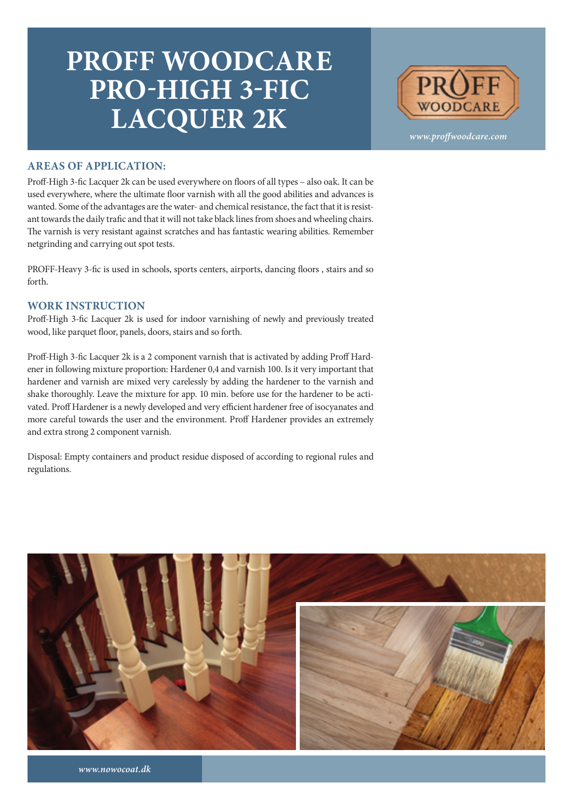## **PROFF WOODCARE PRO-HIGH 3-FIC LACQUER 2K**



*www.proffwoodcare.com*

## **AREAS OF APPLICATION:**

Proff-High 3-fic Lacquer 2k can be used everywhere on floors of all types – also oak. It can be used everywhere, where the ultimate floor varnish with all the good abilities and advances is wanted. Some of the advantages are the water- and chemical resistance, the fact that it is resistant towards the daily trafic and that it will not take black lines from shoes and wheeling chairs. The varnish is very resistant against scratches and has fantastic wearing abilities. Remember netgrinding and carrying out spot tests.

PROFF-Heavy 3-fic is used in schools, sports centers, airports, dancing floors , stairs and so forth.

## **WORK INSTRUCTION**

Proff-High 3-fic Lacquer 2k is used for indoor varnishing of newly and previously treated wood, like parquet floor, panels, doors, stairs and so forth.

Proff-High 3-fic Lacquer 2k is a 2 component varnish that is activated by adding Proff Hardener in following mixture proportion: Hardener 0,4 and varnish 100. Is it very important that hardener and varnish are mixed very carelessly by adding the hardener to the varnish and shake thoroughly. Leave the mixture for app. 10 min. before use for the hardener to be activated. Proff Hardener is a newly developed and very efficient hardener free of isocyanates and more careful towards the user and the environment. Proff Hardener provides an extremely and extra strong 2 component varnish.

Disposal: Empty containers and product residue disposed of according to regional rules and regulations.



*www.nowocoat.dk*